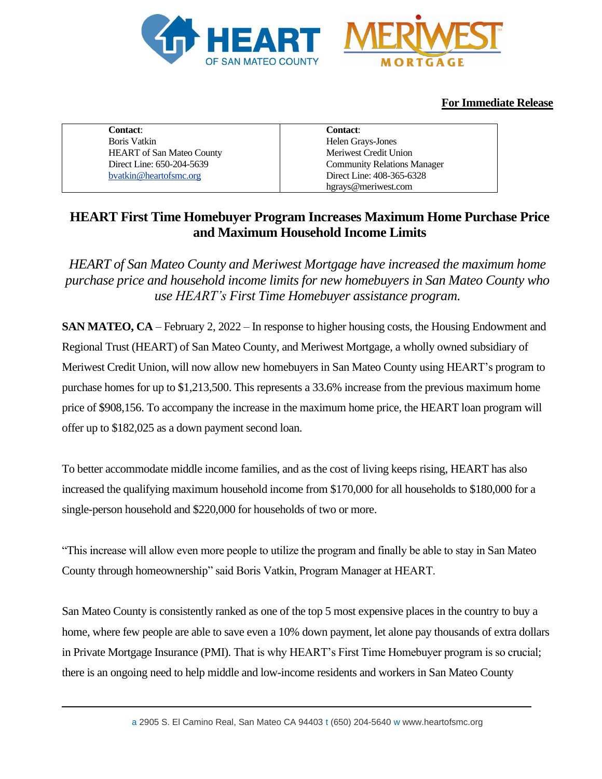

# **For Immediate Release**

| <b>Contact:</b>                  | <b>Contact:</b>                    |
|----------------------------------|------------------------------------|
| Boris Vatkin                     | Helen Grays-Jones                  |
| <b>HEART</b> of San Mateo County | Meriwest Credit Union              |
| Direct Line: 650-204-5639        | <b>Community Relations Manager</b> |
| byatkin@heartofsmc.org           | Direct Line: 408-365-6328          |
|                                  | hgrays@meriwest.com                |

# **HEART First Time Homebuyer Program Increases Maximum Home Purchase Price and Maximum Household Income Limits**

*HEART of San Mateo County and Meriwest Mortgage have increased the maximum home purchase price and household income limits for new homebuyers in San Mateo County who use HEART's First Time Homebuyer assistance program.* 

**SAN MATEO, CA** – February 2, 2022 – In response to higher housing costs, the Housing Endowment and Regional Trust (HEART) of San Mateo County, and Meriwest Mortgage, a wholly owned subsidiary of Meriwest Credit Union, will now allow new homebuyers in San Mateo County using HEART's program to purchase homes for up to \$1,213,500. This represents a 33.6% increase from the previous maximum home price of \$908,156. To accompany the increase in the maximum home price, the HEART loan program will offer up to \$182,025 as a down payment second loan.

To better accommodate middle income families, and as the cost of living keeps rising, HEART has also increased the qualifying maximum household income from \$170,000 for all households to \$180,000 for a single-person household and \$220,000 for households of two or more.

"This increase will allow even more people to utilize the program and finally be able to stay in San Mateo County through homeownership" said Boris Vatkin, Program Manager at HEART.

San Mateo County is consistently ranked as one of the top 5 most expensive places in the country to buy a home, where few people are able to save even a 10% down payment, let alone pay thousands of extra dollars in Private Mortgage Insurance (PMI). That is why HEART's First Time Homebuyer program is so crucial; there is an ongoing need to help middle and low-income residents and workers in San Mateo County